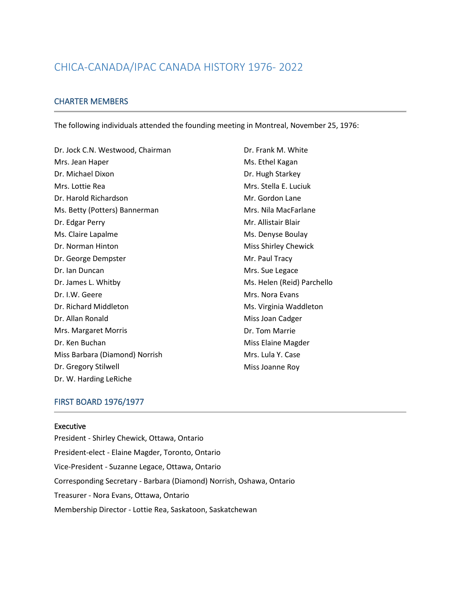# CHICA-CANADA/IPAC CANADA HISTORY 1976- 2022

### CHARTER MEMBERS

The following individuals attended the founding meeting in Montreal, November 25, 1976:

Dr. Jock C.N. Westwood, Chairman Mrs. Jean Haper Dr. Michael Dixon Mrs. Lottie Rea Dr. Harold Richardson Ms. Betty (Potters) Bannerman Dr. Edgar Perry Ms. Claire Lapalme Dr. Norman Hinton Dr. George Dempster Dr. Ian Duncan Dr. James L. Whitby Dr. I.W. Geere Dr. Richard Middleton Dr. Allan Ronald Mrs. Margaret Morris Dr. Ken Buchan Miss Barbara (Diamond) Norrish Dr. Gregory Stilwell Dr. W. Harding LeRiche

Dr. Frank M. White Ms. Ethel Kagan Dr. Hugh Starkey Mrs. Stella E. Luciuk Mr. Gordon Lane Mrs. Nila MacFarlane Mr. Allistair Blair Ms. Denyse Boulay Miss Shirley Chewick Mr. Paul Tracy Mrs. Sue Legace Ms. Helen (Reid) Parchello Mrs. Nora Evans Ms. Virginia Waddleton Miss Joan Cadger Dr. Tom Marrie Miss Elaine Magder Mrs. Lula Y. Case Miss Joanne Roy

### FIRST BOARD 1976/1977

#### Executive

President - Shirley Chewick, Ottawa, Ontario President-elect - Elaine Magder, Toronto, Ontario Vice-President - Suzanne Legace, Ottawa, Ontario Corresponding Secretary - Barbara (Diamond) Norrish, Oshawa, Ontario Treasurer - Nora Evans, Ottawa, Ontario Membership Director - Lottie Rea, Saskatoon, Saskatchewan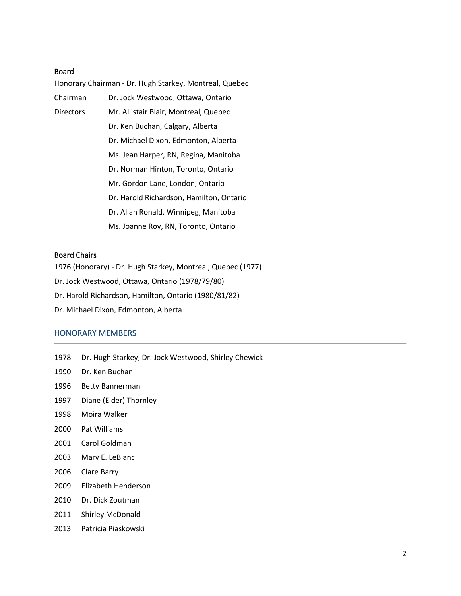### Board

Honorary Chairman - Dr. Hugh Starkey, Montreal, Quebec Chairman Dr. Jock Westwood, Ottawa, Ontario Directors Mr. Allistair Blair, Montreal, Quebec Dr. Ken Buchan, Calgary, Alberta Dr. Michael Dixon, Edmonton, Alberta Ms. Jean Harper, RN, Regina, Manitoba Dr. Norman Hinton, Toronto, Ontario Mr. Gordon Lane, London, Ontario Dr. Harold Richardson, Hamilton, Ontario Dr. Allan Ronald, Winnipeg, Manitoba Ms. Joanne Roy, RN, Toronto, Ontario

### Board Chairs

1976 (Honorary) - Dr. Hugh Starkey, Montreal, Quebec (1977)

- Dr. Jock Westwood, Ottawa, Ontario (1978/79/80)
- Dr. Harold Richardson, Hamilton, Ontario (1980/81/82)
- Dr. Michael Dixon, Edmonton, Alberta

### HONORARY MEMBERS

- 1978 Dr. Hugh Starkey, Dr. Jock Westwood, Shirley Chewick
- 1990 Dr. Ken Buchan
- 1996 Betty Bannerman
- 1997 Diane (Elder) Thornley
- 1998 Moira Walker
- 2000 Pat Williams
- 2001 Carol Goldman
- 2003 Mary E. LeBlanc
- 2006 Clare Barry
- 2009 Elizabeth Henderson
- 2010 Dr. Dick Zoutman
- 2011 Shirley McDonald
- 2013 Patricia Piaskowski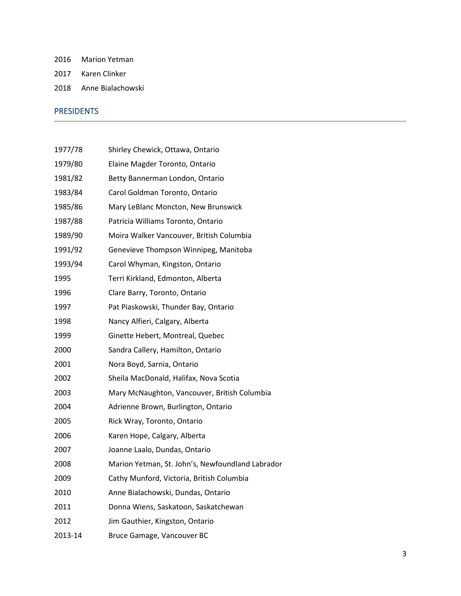- Marion Yetman
- Karen Clinker
- Anne Bialachowski

## PRESIDENTS

| 1977/78 | Shirley Chewick, Ottawa, Ontario                 |
|---------|--------------------------------------------------|
| 1979/80 | Elaine Magder Toronto, Ontario                   |
| 1981/82 | Betty Bannerman London, Ontario                  |
| 1983/84 | Carol Goldman Toronto, Ontario                   |
| 1985/86 | Mary LeBlanc Moncton, New Brunswick              |
| 1987/88 | Patricia Williams Toronto, Ontario               |
| 1989/90 | Moira Walker Vancouver, British Columbia         |
| 1991/92 | Genevieve Thompson Winnipeg, Manitoba            |
| 1993/94 | Carol Whyman, Kingston, Ontario                  |
| 1995    | Terri Kirkland, Edmonton, Alberta                |
| 1996    | Clare Barry, Toronto, Ontario                    |
| 1997    | Pat Piaskowski, Thunder Bay, Ontario             |
| 1998    | Nancy Alfieri, Calgary, Alberta                  |
| 1999    | Ginette Hebert, Montreal, Quebec                 |
| 2000    | Sandra Callery, Hamilton, Ontario                |
| 2001    | Nora Boyd, Sarnia, Ontario                       |
| 2002    | Sheila MacDonald, Halifax, Nova Scotia           |
| 2003    | Mary McNaughton, Vancouver, British Columbia     |
| 2004    | Adrienne Brown, Burlington, Ontario              |
| 2005    | Rick Wray, Toronto, Ontario                      |
| 2006    | Karen Hope, Calgary, Alberta                     |
| 2007    | Joanne Laalo, Dundas, Ontario                    |
| 2008    | Marion Yetman, St. John's, Newfoundland Labrador |
| 2009    | Cathy Munford, Victoria, British Columbia        |
| 2010    | Anne Bialachowski, Dundas, Ontario               |
| 2011    | Donna Wiens, Saskatoon, Saskatchewan             |
| 2012    | Jim Gauthier, Kingston, Ontario                  |
| 2013-14 | Bruce Gamage, Vancouver BC                       |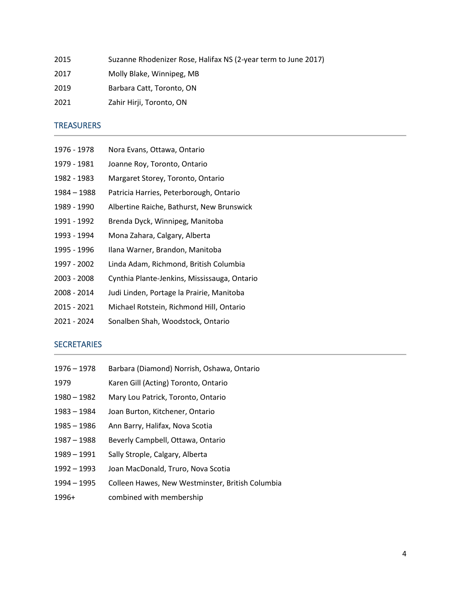- Suzanne Rhodenizer Rose, Halifax NS (2-year term to June 2017)
- Molly Blake, Winnipeg, MB
- Barbara Catt, Toronto, ON
- Zahir Hirji, Toronto, ON

#### TREASURERS

- 1978 Nora Evans, Ottawa, Ontario
- 1981 Joanne Roy, Toronto, Ontario
- 1983 Margaret Storey, Toronto, Ontario
- 1988 Patricia Harries, Peterborough, Ontario
- 1990 Albertine Raiche, Bathurst, New Brunswick
- 1992 Brenda Dyck, Winnipeg, Manitoba
- 1994 Mona Zahara, Calgary, Alberta
- 1995 1996 Ilana Warner, Brandon, Manitoba
- 1997 2002 Linda Adam, Richmond, British Columbia
- 2003 2008 Cynthia Plante-Jenkins, Mississauga, Ontario
- 2014 Judi Linden, Portage la Prairie, Manitoba
- 2015 2021 Michael Rotstein, Richmond Hill, Ontario
- 2024 Sonalben Shah, Woodstock, Ontario

#### **SECRETARIES**

- 1978 Barbara (Diamond) Norrish, Oshawa, Ontario
- Karen Gill (Acting) Toronto, Ontario
- 1982 Mary Lou Patrick, Toronto, Ontario
- 1984 Joan Burton, Kitchener, Ontario
- 1986 Ann Barry, Halifax, Nova Scotia
- 1988 Beverly Campbell, Ottawa, Ontario
- 1989 1991 Sally Strople, Calgary, Alberta
- 1993 Joan MacDonald, Truro, Nova Scotia
- 1995 Colleen Hawes, New Westminster, British Columbia
- 1996+ combined with membership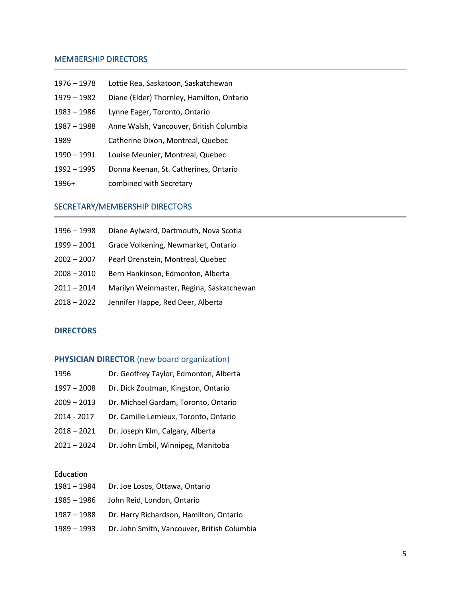### MEMBERSHIP DIRECTORS

- 1978 Lottie Rea, Saskatoon, Saskatchewan
- 1982 Diane (Elder) Thornley, Hamilton, Ontario
- 1986 Lynne Eager, Toronto, Ontario
- 1988 Anne Walsh, Vancouver, British Columbia
- Catherine Dixon, Montreal, Quebec
- 1991 Louise Meunier, Montreal, Quebec
- 1995 Donna Keenan, St. Catherines, Ontario
- 1996+ combined with Secretary

### SECRETARY/MEMBERSHIP DIRECTORS

- 1998 Diane Aylward, Dartmouth, Nova Scotia
- 2001 Grace Volkening, Newmarket, Ontario
- 2007 Pearl Orenstein, Montreal, Quebec
- 2010 Bern Hankinson, Edmonton, Alberta
- 2014 Marilyn Weinmaster, Regina, Saskatchewan
- 2018 2022 Jennifer Happe, Red Deer, Alberta

### **DIRECTORS**

#### **PHYSICIAN DIRECTOR** (new board organization)

- Dr. Geoffrey Taylor, Edmonton, Alberta
- 2008 Dr. Dick Zoutman, Kingston, Ontario
- 2013 Dr. Michael Gardam, Toronto, Ontario
- 2014 2017 Dr. Camille Lemieux, Toronto, Ontario
- 2018 2021 Dr. Joseph Kim, Calgary, Alberta
- 2021 2024 Dr. John Embil, Winnipeg, Manitoba

#### Education

| 1981 – 1984 |  | Dr. Joe Losos, Ottawa, Ontario |
|-------------|--|--------------------------------|
|-------------|--|--------------------------------|

- 1986 John Reid, London, Ontario
- 1988 Dr. Harry Richardson, Hamilton, Ontario
- 1993 Dr. John Smith, Vancouver, British Columbia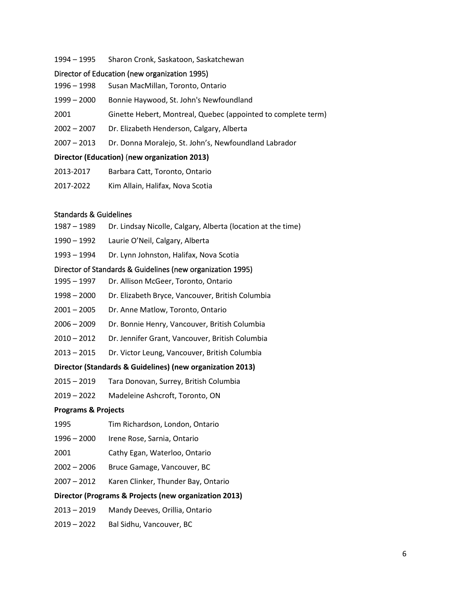1994 – 1995 Sharon Cronk, Saskatoon, Saskatchewan

#### Director of Education (new organization 1995)

- 1996 1998 Susan MacMillan, Toronto, Ontario
- 1999 2000 Bonnie Haywood, St. John's Newfoundland
- 2001 Ginette Hebert, Montreal, Quebec (appointed to complete term)
- 2002 2007 Dr. Elizabeth Henderson, Calgary, Alberta
- 2007 2013 Dr. Donna Moralejo, St. John's, Newfoundland Labrador

#### **Director (Education)** (**new organization 2013)**

- 2013-2017 Barbara Catt, Toronto, Ontario
- 2017-2022 Kim Allain, Halifax, Nova Scotia

#### Standards & Guidelines

- 1987 1989 Dr. Lindsay Nicolle, Calgary, Alberta (location at the time)
- 1990 1992 Laurie O'Neil, Calgary, Alberta
- 1993 1994 Dr. Lynn Johnston, Halifax, Nova Scotia

#### Director of Standards & Guidelines (new organization 1995)

- 1995 1997 Dr. Allison McGeer, Toronto, Ontario
- 1998 2000 Dr. Elizabeth Bryce, Vancouver, British Columbia
- 2001 2005 Dr. Anne Matlow, Toronto, Ontario
- 2006 2009 Dr. Bonnie Henry, Vancouver, British Columbia
- 2010 2012 Dr. Jennifer Grant, Vancouver, British Columbia
- 2013 2015 Dr. Victor Leung, Vancouver, British Columbia

#### **Director (Standards & Guidelines) (new organization 2013)**

- 2015 2019 Tara Donovan, Surrey, British Columbia
- 2019 2022 Madeleine Ashcroft, Toronto, ON

#### **Programs & Projects**

- 1995 Tim Richardson, London, Ontario
- 1996 2000 Irene Rose, Sarnia, Ontario
- 2001 Cathy Egan, Waterloo, Ontario
- 2002 2006 Bruce Gamage, Vancouver, BC
- 2007 2012 Karen Clinker, Thunder Bay, Ontario

#### **Director (Programs & Projects (new organization 2013)**

- 2013 2019 Mandy Deeves, Orillia, Ontario
- 2019 2022 Bal Sidhu, Vancouver, BC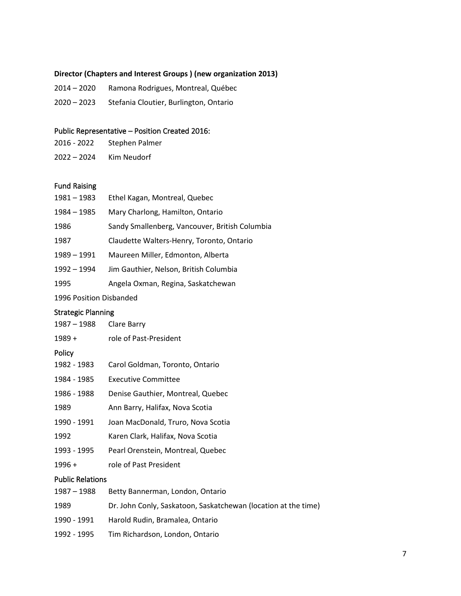#### **Director (Chapters and Interest Groups ) (new organization 2013)**

- 2014 2020 Ramona Rodrigues, Montreal, Québec
- 2020 2023 Stefania Cloutier, Burlington, Ontario

### Public Representative – Position Created 2016:

- 2016 2022 Stephen Palmer
- 2022 2024 Kim Neudorf

### Fund Raising

| $1981 - 1983$ | Ethel Kagan, Montreal, Quebec                  |
|---------------|------------------------------------------------|
| 1984 - 1985   | Mary Charlong, Hamilton, Ontario               |
| 1986          | Sandy Smallenberg, Vancouver, British Columbia |
| 1987          | Claudette Walters-Henry, Toronto, Ontario      |
| $1989 - 1991$ | Maureen Miller, Edmonton, Alberta              |
| $1992 - 1994$ | Jim Gauthier, Nelson, British Columbia         |
| 1995          | Angela Oxman, Regina, Saskatchewan             |
|               |                                                |

1996 Position Disbanded

### Strategic Planning

| 1987 – 1988             | Clare Barry                        |
|-------------------------|------------------------------------|
| $1989 +$                | role of Past-President             |
| Policy                  |                                    |
| 1982 - 1983             | Carol Goldman, Toronto, Ontario    |
| 1984 - 1985             | <b>Executive Committee</b>         |
| 1986 - 1988             | Denise Gauthier, Montreal, Quebec  |
| 1989                    | Ann Barry, Halifax, Nova Scotia    |
| 1990 - 1991             | Joan MacDonald, Truro, Nova Scotia |
| 1992                    | Karen Clark, Halifax, Nova Scotia  |
| 1993 - 1995             | Pearl Orenstein, Montreal, Quebec  |
| $1996 +$                | role of Past President             |
| <b>Public Relations</b> |                                    |
| 1987 – 1988             | Betty Bannerman, London, Ontario   |

- 1989 Dr. John Conly, Saskatoon, Saskatchewan (location at the time)
- 1990 1991 Harold Rudin, Bramalea, Ontario
- 1992 1995 Tim Richardson, London, Ontario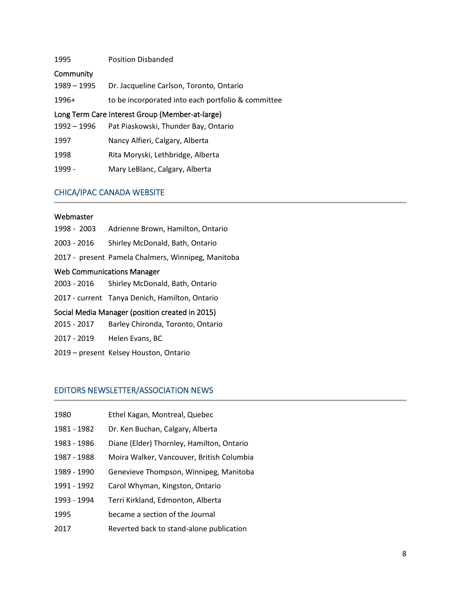### 1995 Position Disbanded

#### **Community**

| 1989 – 1995                                     | Dr. Jacqueline Carlson, Toronto, Ontario           |  |
|-------------------------------------------------|----------------------------------------------------|--|
| $1996+$                                         | to be incorporated into each portfolio & committee |  |
| Long Term Care Interest Group (Member-at-large) |                                                    |  |

 – 1996 Pat Piaskowski, Thunder Bay, Ontario Nancy Alfieri, Calgary, Alberta Rita Moryski, Lethbridge, Alberta - Mary LeBlanc, Calgary, Alberta

### CHICA/IPAC CANADA WEBSITE

### **Webmaster**

| 1998 - 2003                                     | Adrienne Brown, Hamilton, Ontario                  |  |
|-------------------------------------------------|----------------------------------------------------|--|
| 2003 - 2016                                     | Shirley McDonald, Bath, Ontario                    |  |
|                                                 | 2017 - present Pamela Chalmers, Winnipeg, Manitoba |  |
| <b>Web Communications Manager</b>               |                                                    |  |
|                                                 | 2003 - 2016 Shirley McDonald, Bath, Ontario        |  |
|                                                 | 2017 - current Tanya Denich, Hamilton, Ontario     |  |
| Social Media Manager (position created in 2015) |                                                    |  |
| 2015 - 2017                                     | Barley Chironda, Toronto, Ontario                  |  |
| 2017 - 2019                                     | Helen Evans, BC                                    |  |

2019 – present Kelsey Houston, Ontario

### EDITORS NEWSLETTER/ASSOCIATION NEWS

- 1980 Ethel Kagan, Montreal, Quebec
- 1981 1982 Dr. Ken Buchan, Calgary, Alberta
- 1983 1986 Diane (Elder) Thornley, Hamilton, Ontario
- 1987 1988 Moira Walker, Vancouver, British Columbia
- 1989 1990 Genevieve Thompson, Winnipeg, Manitoba
- 1991 1992 Carol Whyman, Kingston, Ontario
- 1993 1994 Terri Kirkland, Edmonton, Alberta
- 1995 became a section of the Journal
- 2017 Reverted back to stand-alone publication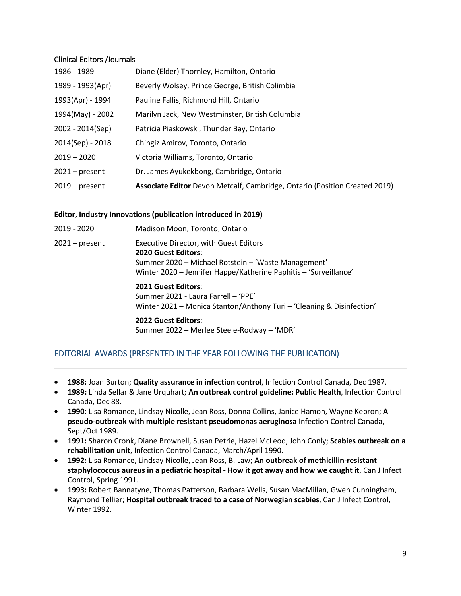### Clinical Editors /Journals

| 1986 - 1989      | Diane (Elder) Thornley, Hamilton, Ontario                                  |
|------------------|----------------------------------------------------------------------------|
| 1989 - 1993(Apr) | Beverly Wolsey, Prince George, British Colimbia                            |
| 1993(Apr) - 1994 | Pauline Fallis, Richmond Hill, Ontario                                     |
| 1994(May) - 2002 | Marilyn Jack, New Westminster, British Columbia                            |
| 2002 - 2014(Sep) | Patricia Piaskowski, Thunder Bay, Ontario                                  |
| 2014(Sep) - 2018 | Chingiz Amirov, Toronto, Ontario                                           |
| $2019 - 2020$    | Victoria Williams, Toronto, Ontario                                        |
| $2021$ – present | Dr. James Ayukekbong, Cambridge, Ontario                                   |
| $2019$ – present | Associate Editor Devon Metcalf, Cambridge, Ontario (Position Created 2019) |

#### **Editor, Industry Innovations (publication introduced in 2019)**

2019 - 2020 Madison Moon, Toronto, Ontario

2021 – present Executive Director, with Guest Editors **2020 Guest Editors**: Summer 2020 – Michael Rotstein – 'Waste Management' Winter 2020 – Jennifer Happe/Katherine Paphitis – 'Surveillance'

> **2021 Guest Editors**: Summer 2021 - Laura Farrell – 'PPE' Winter 2021 – Monica Stanton/Anthony Turi – 'Cleaning & Disinfection'

### **2022 Guest Editors**:

Summer 2022 – Merlee Steele-Rodway – 'MDR'

### EDITORIAL AWARDS (PRESENTED IN THE YEAR FOLLOWING THE PUBLICATION)

- **1988:** Joan Burton; **Quality assurance in infection control**, Infection Control Canada, Dec 1987.
- **1989:** Linda Sellar & Jane Urquhart; **An outbreak control guideline: Public Health**, Infection Control Canada, Dec 88.
- **1990**: Lisa Romance, Lindsay Nicolle, Jean Ross, Donna Collins, Janice Hamon, Wayne Kepron; **A pseudo-outbreak with multiple resistant pseudomonas aeruginosa** Infection Control Canada, Sept/Oct 1989.
- **1991:** Sharon Cronk, Diane Brownell, Susan Petrie, Hazel McLeod, John Conly; **Scabies outbreak on a rehabilitation unit**, Infection Control Canada, March/April 1990.
- **1992:** Lisa Romance, Lindsay Nicolle, Jean Ross, B. Law; **An outbreak of methicillin-resistant staphylococcus aureus in a pediatric hospital - How it got away and how we caught it**, Can J Infect Control, Spring 1991.
- **1993:** Robert Bannatyne, Thomas Patterson, Barbara Wells, Susan MacMillan, Gwen Cunningham, Raymond Tellier; **Hospital outbreak traced to a case of Norwegian scabies**, Can J Infect Control, Winter 1992.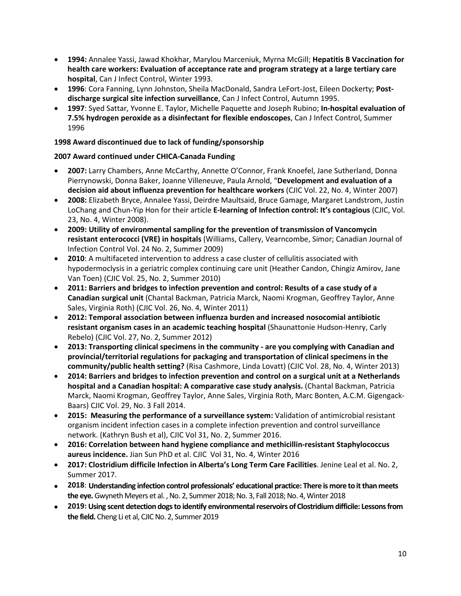- **1994:** Annalee Yassi, Jawad Khokhar, Marylou Marceniuk, Myrna McGill; **Hepatitis B Vaccination for health care workers: Evaluation of acceptance rate and program strategy at a large tertiary care hospital**, Can J Infect Control, Winter 1993.
- **1996**: Cora Fanning, Lynn Johnston, Sheila MacDonald, Sandra LeFort-Jost, Eileen Dockerty; **Postdischarge surgical site infection surveillance**, Can J Infect Control, Autumn 1995.
- **1997**: Syed Sattar, Yvonne E. Taylor, Michelle Paquette and Joseph Rubino; **In-hospital evaluation of 7.5% hydrogen peroxide as a disinfectant for flexible endoscopes**, Can J Infect Control, Summer 1996

### **1998 Award discontinued due to lack of funding/sponsorship**

### **2007 Award continued under CHICA-Canada Funding**

- **2007:** Larry Chambers, Anne McCarthy, Annette O'Connor, Frank Knoefel, Jane Sutherland, Donna Pierrynowski, Donna Baker, Joanne Villeneuve, Paula Arnold, "**Development and evaluation of a decision aid about influenza prevention for healthcare workers** (CJIC Vol. 22, No. 4, Winter 2007)
- **2008:** Elizabeth Bryce, Annalee Yassi, Deirdre Maultsaid, Bruce Gamage, Margaret Landstrom, Justin LoChang and Chun-Yip Hon for their article **E-learning of Infection control: It's contagious** (CJIC, Vol. 23, No. 4, Winter 2008).
- **2009: Utility of environmental sampling for the prevention of transmission of Vancomycin resistant enterococci (VRE) in hospitals** (Williams, Callery, Vearncombe, Simor; Canadian Journal of Infection Control Vol. 24 No. 2, Summer 2009)
- **2010**: A multifaceted intervention to address a case cluster of cellulitis associated with hypodermoclysis in a geriatric complex continuing care unit (Heather Candon, Chingiz Amirov, Jane Van Toen) (CJIC Vol. 25, No. 2, Summer 2010)
- **2011: Barriers and bridges to infection prevention and control: Results of a case study of a Canadian surgical unit** (Chantal Backman, Patricia Marck, Naomi Krogman, Geoffrey Taylor, Anne Sales, Virginia Roth) (CJIC Vol. 26, No. 4, Winter 2011)
- **2012: Temporal association between influenza burden and increased nosocomial antibiotic resistant organism cases in an academic teaching hospital** (Shaunattonie Hudson-Henry, Carly Rebelo) (CJIC Vol. 27, No. 2, Summer 2012)
- **2013: Transporting clinical specimens in the community - are you complying with Canadian and provincial/territorial regulations for packaging and transportation of clinical specimens in the community/public health setting?** (Risa Cashmore, Linda Lovatt) (CJIC Vol. 28, No. 4, Winter 2013)
- **2014: Barriers and bridges to infection prevention and control on a surgical unit at a Netherlands hospital and a Canadian hospital: A comparative case study analysis.** (Chantal Backman, Patricia Marck, Naomi Krogman, Geoffrey Taylor, Anne Sales, Virginia Roth, Marc Bonten, A.C.M. Gigengack-Baars) CJIC Vol. 29, No. 3 Fall 2014.
- **2015: Measuring the performance of a surveillance system:** Validation of antimicrobial resistant organism incident infection cases in a complete infection prevention and control surveillance network. (Kathryn Bush et al), CJIC Vol 31, No. 2, Summer 2016.
- **2016: Correlation between hand hygiene compliance and methicillin-resistant Staphylococcus aureus incidence.** Jian Sun PhD et al. CJIC Vol 31, No. 4, Winter 2016
- **2017: Clostridium difficile Infection in Alberta's Long Term Care Facilities**. Jenine Leal et al. No. 2, Summer 2017.
- **2018**: **Understanding infection control professionals' educational practice: There is more to it than meets the eye.**Gwyneth Meyers et al. , No. 2, Summer 2018; No. 3, Fall 2018; No. 4, Winter 2018
- **2019: Using scent detection dogs to identify environmental reservoirs of Clostridium difficile: Lessons from the field.** Cheng Li et al, CJIC No. 2, Summer 2019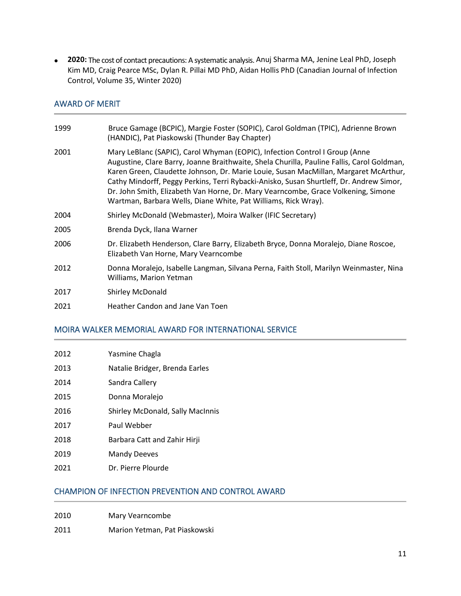• **2020:** The cost of contact precautions: A systematic analysis. Anuj Sharma MA, Jenine Leal PhD, Joseph Kim MD, Craig Pearce MSc, Dylan R. Pillai MD PhD, Aidan Hollis PhD (Canadian Journal of Infection Control, Volume 35, Winter 2020)

### AWARD OF MERIT

| 1999 | Bruce Gamage (BCPIC), Margie Foster (SOPIC), Carol Goldman (TPIC), Adrienne Brown<br>(HANDIC), Pat Piaskowski (Thunder Bay Chapter)                                                                                                                                                                                                                                                                                                                                                                                 |
|------|---------------------------------------------------------------------------------------------------------------------------------------------------------------------------------------------------------------------------------------------------------------------------------------------------------------------------------------------------------------------------------------------------------------------------------------------------------------------------------------------------------------------|
| 2001 | Mary LeBlanc (SAPIC), Carol Whyman (EOPIC), Infection Control I Group (Anne<br>Augustine, Clare Barry, Joanne Braithwaite, Shela Churilla, Pauline Fallis, Carol Goldman,<br>Karen Green, Claudette Johnson, Dr. Marie Louie, Susan MacMillan, Margaret McArthur,<br>Cathy Mindorff, Peggy Perkins, Terri Rybacki-Anisko, Susan Shurtleff, Dr. Andrew Simor,<br>Dr. John Smith, Elizabeth Van Horne, Dr. Mary Vearncombe, Grace Volkening, Simone<br>Wartman, Barbara Wells, Diane White, Pat Williams, Rick Wray). |
| 2004 | Shirley McDonald (Webmaster), Moira Walker (IFIC Secretary)                                                                                                                                                                                                                                                                                                                                                                                                                                                         |
| 2005 | Brenda Dyck, Ilana Warner                                                                                                                                                                                                                                                                                                                                                                                                                                                                                           |
| 2006 | Dr. Elizabeth Henderson, Clare Barry, Elizabeth Bryce, Donna Moralejo, Diane Roscoe,<br>Elizabeth Van Horne, Mary Vearncombe                                                                                                                                                                                                                                                                                                                                                                                        |
| 2012 | Donna Moralejo, Isabelle Langman, Silvana Perna, Faith Stoll, Marilyn Weinmaster, Nina<br>Williams, Marion Yetman                                                                                                                                                                                                                                                                                                                                                                                                   |
| 2017 | Shirley McDonald                                                                                                                                                                                                                                                                                                                                                                                                                                                                                                    |
| 2021 | Heather Candon and Jane Van Toen                                                                                                                                                                                                                                                                                                                                                                                                                                                                                    |

### MOIRA WALKER MEMORIAL AWARD FOR INTERNATIONAL SERVICE

| 2012 | Yasmine Chagla                   |
|------|----------------------------------|
| 2013 | Natalie Bridger, Brenda Earles   |
| 2014 | Sandra Callery                   |
| 2015 | Donna Moralejo                   |
| 2016 | Shirley McDonald, Sally MacInnis |
| 2017 | Paul Webber                      |
| 2018 | Barbara Catt and Zahir Hirji     |
| 2019 | <b>Mandy Deeves</b>              |

2021 Dr. Pierre Plourde

### CHAMPION OF INFECTION PREVENTION AND CONTROL AWARD

- 2010 Mary Vearncombe
- 2011 Marion Yetman, Pat Piaskowski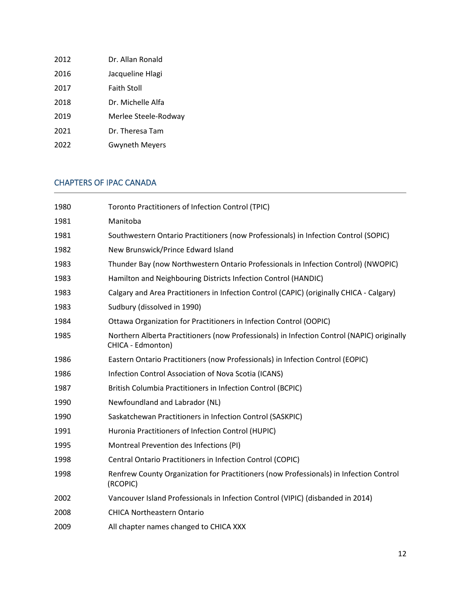| 2012 | Dr. Allan Ronald      |
|------|-----------------------|
| 2016 | Jacqueline Hlagi      |
| 2017 | <b>Faith Stoll</b>    |
| 2018 | Dr. Michelle Alfa     |
| 2019 | Merlee Steele-Rodway  |
| 2021 | Dr. Theresa Tam       |
| 2022 | <b>Gwyneth Meyers</b> |

## CHAPTERS OF IPAC CANADA

| 1980 | Toronto Practitioners of Infection Control (TPIC)                                                               |
|------|-----------------------------------------------------------------------------------------------------------------|
| 1981 | Manitoba                                                                                                        |
| 1981 | Southwestern Ontario Practitioners (now Professionals) in Infection Control (SOPIC)                             |
| 1982 | New Brunswick/Prince Edward Island                                                                              |
| 1983 | Thunder Bay (now Northwestern Ontario Professionals in Infection Control) (NWOPIC)                              |
| 1983 | Hamilton and Neighbouring Districts Infection Control (HANDIC)                                                  |
| 1983 | Calgary and Area Practitioners in Infection Control (CAPIC) (originally CHICA - Calgary)                        |
| 1983 | Sudbury (dissolved in 1990)                                                                                     |
| 1984 | Ottawa Organization for Practitioners in Infection Control (OOPIC)                                              |
| 1985 | Northern Alberta Practitioners (now Professionals) in Infection Control (NAPIC) originally<br>CHICA - Edmonton) |
| 1986 | Eastern Ontario Practitioners (now Professionals) in Infection Control (EOPIC)                                  |
| 1986 | Infection Control Association of Nova Scotia (ICANS)                                                            |
| 1987 | British Columbia Practitioners in Infection Control (BCPIC)                                                     |
| 1990 | Newfoundland and Labrador (NL)                                                                                  |
| 1990 | Saskatchewan Practitioners in Infection Control (SASKPIC)                                                       |
| 1991 | Huronia Practitioners of Infection Control (HUPIC)                                                              |
| 1995 | Montreal Prevention des Infections (PI)                                                                         |
| 1998 | Central Ontario Practitioners in Infection Control (COPIC)                                                      |
| 1998 | Renfrew County Organization for Practitioners (now Professionals) in Infection Control<br>(RCOPIC)              |
| 2002 | Vancouver Island Professionals in Infection Control (VIPIC) (disbanded in 2014)                                 |
| 2008 | <b>CHICA Northeastern Ontario</b>                                                                               |
| 2009 | All chapter names changed to CHICA XXX                                                                          |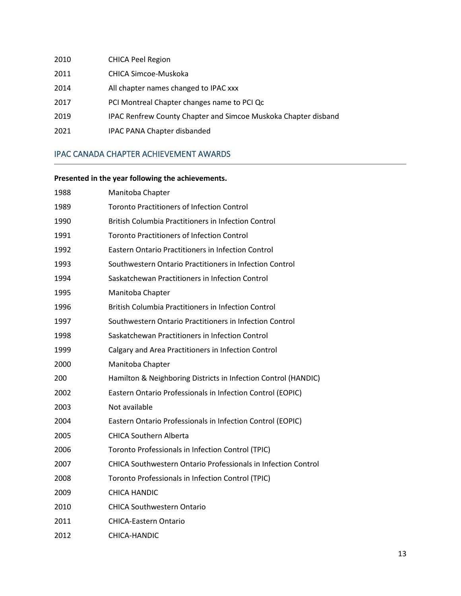| 2010 | <b>CHICA Peel Region</b>                                       |
|------|----------------------------------------------------------------|
| 2011 | CHICA Simcoe-Muskoka                                           |
| 2014 | All chapter names changed to IPAC xxx                          |
| 2017 | PCI Montreal Chapter changes name to PCI Qc                    |
| 2019 | IPAC Renfrew County Chapter and Simcoe Muskoka Chapter disband |
| 2021 | IPAC PANA Chapter disbanded                                    |

## IPAC CANADA CHAPTER ACHIEVEMENT AWARDS

## **Presented in the year following the achievements.**

| 1988 | Manitoba Chapter                                               |
|------|----------------------------------------------------------------|
| 1989 | <b>Toronto Practitioners of Infection Control</b>              |
| 1990 | <b>British Columbia Practitioners in Infection Control</b>     |
| 1991 | <b>Toronto Practitioners of Infection Control</b>              |
| 1992 | Eastern Ontario Practitioners in Infection Control             |
| 1993 | Southwestern Ontario Practitioners in Infection Control        |
| 1994 | Saskatchewan Practitioners in Infection Control                |
| 1995 | Manitoba Chapter                                               |
| 1996 | <b>British Columbia Practitioners in Infection Control</b>     |
| 1997 | Southwestern Ontario Practitioners in Infection Control        |
| 1998 | Saskatchewan Practitioners in Infection Control                |
| 1999 | Calgary and Area Practitioners in Infection Control            |
| 2000 | Manitoba Chapter                                               |
| 200  | Hamilton & Neighboring Districts in Infection Control (HANDIC) |
| 2002 | Eastern Ontario Professionals in Infection Control (EOPIC)     |
| 2003 | Not available                                                  |
| 2004 | Eastern Ontario Professionals in Infection Control (EOPIC)     |
| 2005 | <b>CHICA Southern Alberta</b>                                  |
| 2006 | Toronto Professionals in Infection Control (TPIC)              |
| 2007 | CHICA Southwestern Ontario Professionals in Infection Control  |
| 2008 | Toronto Professionals in Infection Control (TPIC)              |
| 2009 | <b>CHICA HANDIC</b>                                            |
| 2010 | <b>CHICA Southwestern Ontario</b>                              |
| 2011 | <b>CHICA-Eastern Ontario</b>                                   |
| 2012 | CHICA-HANDIC                                                   |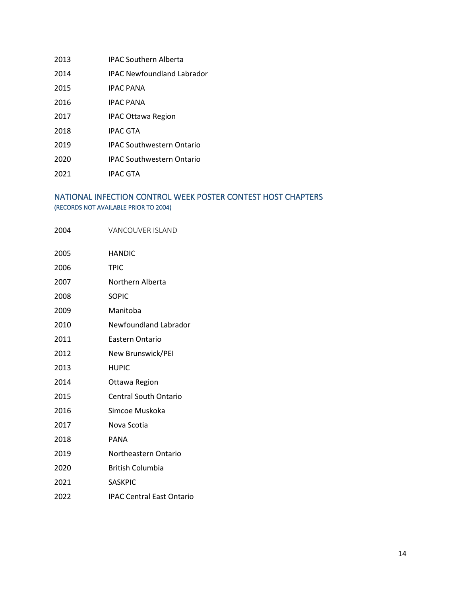| 2013 | <b>IPAC Southern Alberta</b>     |
|------|----------------------------------|
| 2014 | IPAC Newfoundland Labrador       |
| 2015 | <b>IPAC PANA</b>                 |
| 2016 | <b>IPAC PANA</b>                 |
| 2017 | <b>IPAC Ottawa Region</b>        |
| 2018 | <b>IPAC GTA</b>                  |
| 2019 | <b>IPAC Southwestern Ontario</b> |
| 2020 | <b>IPAC Southwestern Ontario</b> |
| 2021 | IPAC GTA                         |

## NATIONAL INFECTION CONTROL WEEK POSTER CONTEST HOST CHAPTERS (RECORDS NOT AVAILABLE PRIOR TO 2004)

| 2004 | VANCOUVER ISLAND                 |
|------|----------------------------------|
| 2005 | <b>HANDIC</b>                    |
| 2006 | <b>TPIC</b>                      |
| 2007 | Northern Alberta                 |
| 2008 | <b>SOPIC</b>                     |
| 2009 | Manitoba                         |
| 2010 | Newfoundland Labrador            |
| 2011 | Eastern Ontario                  |
| 2012 | <b>New Brunswick/PEI</b>         |
| 2013 | <b>HUPIC</b>                     |
| 2014 | Ottawa Region                    |
| 2015 | <b>Central South Ontario</b>     |
| 2016 | Simcoe Muskoka                   |
| 2017 | Nova Scotia                      |
| 2018 | <b>PANA</b>                      |
| 2019 | Northeastern Ontario             |
| 2020 | <b>British Columbia</b>          |
| 2021 | <b>SASKPIC</b>                   |
| 2022 | <b>IPAC Central East Ontario</b> |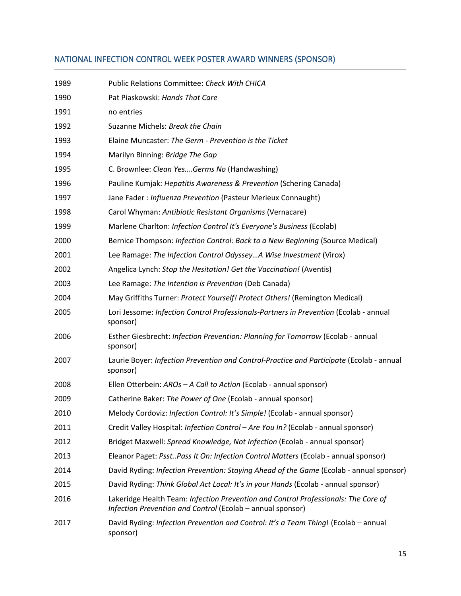## NATIONAL INFECTION CONTROL WEEK POSTER AWARD WINNERS (SPONSOR)

| 1989 | Public Relations Committee: Check With CHICA                                                                                                     |
|------|--------------------------------------------------------------------------------------------------------------------------------------------------|
| 1990 | Pat Piaskowski: Hands That Care                                                                                                                  |
| 1991 | no entries                                                                                                                                       |
| 1992 | Suzanne Michels: Break the Chain                                                                                                                 |
| 1993 | Elaine Muncaster: The Germ - Prevention is the Ticket                                                                                            |
| 1994 | Marilyn Binning: Bridge The Gap                                                                                                                  |
| 1995 | C. Brownlee: Clean YesGerms No (Handwashing)                                                                                                     |
| 1996 | Pauline Kumjak: Hepatitis Awareness & Prevention (Schering Canada)                                                                               |
| 1997 | Jane Fader: Influenza Prevention (Pasteur Merieux Connaught)                                                                                     |
| 1998 | Carol Whyman: Antibiotic Resistant Organisms (Vernacare)                                                                                         |
| 1999 | Marlene Charlton: Infection Control It's Everyone's Business (Ecolab)                                                                            |
| 2000 | Bernice Thompson: Infection Control: Back to a New Beginning (Source Medical)                                                                    |
| 2001 | Lee Ramage: The Infection Control OdysseyA Wise Investment (Virox)                                                                               |
| 2002 | Angelica Lynch: Stop the Hesitation! Get the Vaccination! (Aventis)                                                                              |
| 2003 | Lee Ramage: The Intention is Prevention (Deb Canada)                                                                                             |
| 2004 | May Griffiths Turner: Protect Yourself! Protect Others! (Remington Medical)                                                                      |
| 2005 | Lori Jessome: Infection Control Professionals-Partners in Prevention (Ecolab - annual<br>sponsor)                                                |
| 2006 | Esther Giesbrecht: Infection Prevention: Planning for Tomorrow (Ecolab - annual<br>sponsor)                                                      |
| 2007 | Laurie Boyer: Infection Prevention and Control-Practice and Participate (Ecolab - annual<br>sponsor)                                             |
| 2008 | Ellen Otterbein: AROs - A Call to Action (Ecolab - annual sponsor)                                                                               |
| 2009 | Catherine Baker: The Power of One (Ecolab - annual sponsor)                                                                                      |
| 2010 | Melody Cordoviz: Infection Control: It's Simple! (Ecolab - annual sponsor)                                                                       |
| 2011 | Credit Valley Hospital: Infection Control - Are You In? (Ecolab - annual sponsor)                                                                |
| 2012 | Bridget Maxwell: Spread Knowledge, Not Infection (Ecolab - annual sponsor)                                                                       |
| 2013 | Eleanor Paget: PsstPass It On: Infection Control Matters (Ecolab - annual sponsor)                                                               |
| 2014 | David Ryding: Infection Prevention: Staying Ahead of the Game (Ecolab - annual sponsor)                                                          |
| 2015 | David Ryding: Think Global Act Local: It's in your Hands (Ecolab - annual sponsor)                                                               |
| 2016 | Lakeridge Health Team: Infection Prevention and Control Professionals: The Core of<br>Infection Prevention and Control (Ecolab - annual sponsor) |
| 2017 | David Ryding: Infection Prevention and Control: It's a Team Thing! (Ecolab - annual<br>sponsor)                                                  |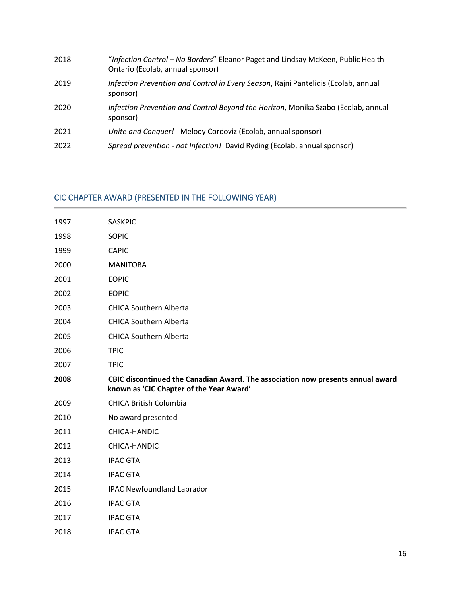## CIC CHAPTER AWARD (PRESENTED IN THE FOLLOWING YEAR)

| 1997 | <b>SASKPIC</b>                                                                                                              |
|------|-----------------------------------------------------------------------------------------------------------------------------|
| 1998 | <b>SOPIC</b>                                                                                                                |
| 1999 | <b>CAPIC</b>                                                                                                                |
| 2000 | <b>MANITOBA</b>                                                                                                             |
| 2001 | <b>EOPIC</b>                                                                                                                |
| 2002 | <b>EOPIC</b>                                                                                                                |
| 2003 | <b>CHICA Southern Alberta</b>                                                                                               |
| 2004 | <b>CHICA Southern Alberta</b>                                                                                               |
| 2005 | <b>CHICA Southern Alberta</b>                                                                                               |
| 2006 | <b>TPIC</b>                                                                                                                 |
| 2007 | <b>TPIC</b>                                                                                                                 |
|      |                                                                                                                             |
| 2008 | CBIC discontinued the Canadian Award. The association now presents annual award<br>known as 'CIC Chapter of the Year Award' |
| 2009 | <b>CHICA British Columbia</b>                                                                                               |
| 2010 | No award presented                                                                                                          |
| 2011 | CHICA-HANDIC                                                                                                                |
| 2012 | CHICA-HANDIC                                                                                                                |
| 2013 | <b>IPAC GTA</b>                                                                                                             |
| 2014 | <b>IPAC GTA</b>                                                                                                             |
| 2015 | <b>IPAC Newfoundland Labrador</b>                                                                                           |
| 2016 | <b>IPAC GTA</b>                                                                                                             |
| 2017 | <b>IPAC GTA</b>                                                                                                             |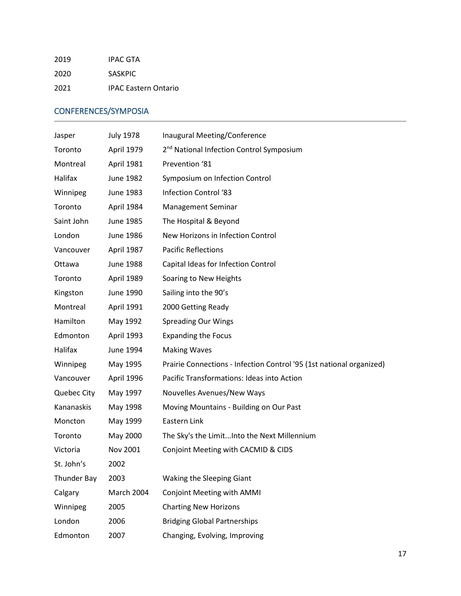2019 IPAC GTA 2020 SASKPIC 2021 IPAC Eastern Ontario

## CONFERENCES/SYMPOSIA

| Jasper             | <b>July 1978</b> | Inaugural Meeting/Conference                                         |
|--------------------|------------------|----------------------------------------------------------------------|
| Toronto            | April 1979       | 2 <sup>nd</sup> National Infection Control Symposium                 |
| Montreal           | April 1981       | Prevention '81                                                       |
| Halifax            | June 1982        | Symposium on Infection Control                                       |
| Winnipeg           | June 1983        | Infection Control '83                                                |
| Toronto            | April 1984       | <b>Management Seminar</b>                                            |
| Saint John         | June 1985        | The Hospital & Beyond                                                |
| London             | June 1986        | New Horizons in Infection Control                                    |
| Vancouver          | April 1987       | <b>Pacific Reflections</b>                                           |
| Ottawa             | June 1988        | Capital Ideas for Infection Control                                  |
| Toronto            | April 1989       | Soaring to New Heights                                               |
| Kingston           | June 1990        | Sailing into the 90's                                                |
| Montreal           | April 1991       | 2000 Getting Ready                                                   |
| Hamilton           | May 1992         | <b>Spreading Our Wings</b>                                           |
| Edmonton           | April 1993       | <b>Expanding the Focus</b>                                           |
| Halifax            | June 1994        | <b>Making Waves</b>                                                  |
| Winnipeg           | May 1995         | Prairie Connections - Infection Control '95 (1st national organized) |
| Vancouver          | April 1996       | Pacific Transformations: Ideas into Action                           |
| Quebec City        | May 1997         | Nouvelles Avenues/New Ways                                           |
| Kananaskis         | May 1998         | Moving Mountains - Building on Our Past                              |
| Moncton            | May 1999         | Eastern Link                                                         |
| Toronto            | May 2000         | The Sky's the Limit Into the Next Millennium                         |
| Victoria           | Nov 2001         | Conjoint Meeting with CACMID & CIDS                                  |
| St. John's         | 2002             |                                                                      |
| <b>Thunder Bay</b> | 2003             | Waking the Sleeping Giant                                            |
| Calgary            | March 2004       | Conjoint Meeting with AMMI                                           |
| Winnipeg           | 2005             | <b>Charting New Horizons</b>                                         |
| London             | 2006             | <b>Bridging Global Partnerships</b>                                  |
| Edmonton           | 2007             | Changing, Evolving, Improving                                        |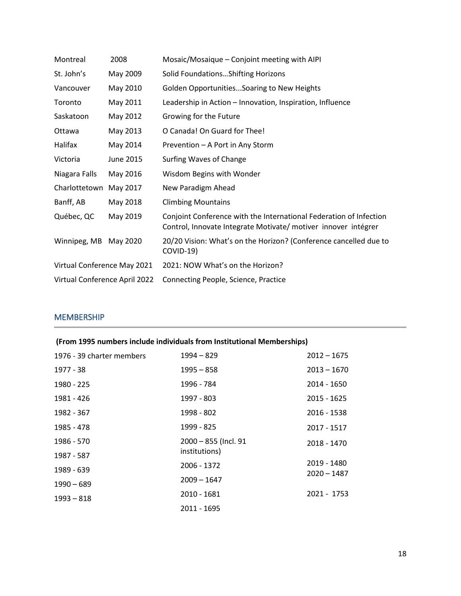| Montreal                      | 2008      | Mosaic/Mosaique – Conjoint meeting with AIPI                                                                                         |
|-------------------------------|-----------|--------------------------------------------------------------------------------------------------------------------------------------|
| St. John's                    | May 2009  | Solid FoundationsShifting Horizons                                                                                                   |
| Vancouver                     | May 2010  | Golden OpportunitiesSoaring to New Heights                                                                                           |
| Toronto                       | May 2011  | Leadership in Action - Innovation, Inspiration, Influence                                                                            |
| Saskatoon                     | May 2012  | Growing for the Future                                                                                                               |
| Ottawa                        | May 2013  | O Canada! On Guard for Thee!                                                                                                         |
| Halifax                       | May 2014  | Prevention - A Port in Any Storm                                                                                                     |
| Victoria                      | June 2015 | Surfing Waves of Change                                                                                                              |
| Niagara Falls                 | May 2016  | Wisdom Begins with Wonder                                                                                                            |
| Charlottetown                 | May 2017  | New Paradigm Ahead                                                                                                                   |
| Banff, AB                     | May 2018  | <b>Climbing Mountains</b>                                                                                                            |
| Québec, QC                    | May 2019  | Conjoint Conference with the International Federation of Infection<br>Control, Innovate Integrate Motivate/ motiver innover intégrer |
| Winnipeg, MB                  | May 2020  | 20/20 Vision: What's on the Horizon? (Conference cancelled due to<br>COVID-19)                                                       |
| Virtual Conference May 2021   |           | 2021: NOW What's on the Horizon?                                                                                                     |
| Virtual Conference April 2022 |           | Connecting People, Science, Practice                                                                                                 |

## MEMBERSHIP

|                           | (From 1995 numbers include individuals from Institutional Memberships) |                              |
|---------------------------|------------------------------------------------------------------------|------------------------------|
| 1976 - 39 charter members | $1994 - 829$                                                           | $2012 - 1675$                |
| 1977 - 38                 | $1995 - 858$                                                           | $2013 - 1670$                |
| 1980 - 225                | 1996 - 784                                                             | 2014 - 1650                  |
| 1981 - 426                | 1997 - 803                                                             | 2015 - 1625                  |
| 1982 - 367                | 1998 - 802                                                             | 2016 - 1538                  |
| 1985 - 478                | 1999 - 825                                                             | 2017 - 1517                  |
| 1986 - 570                | $2000 - 855$ (Incl. 91)                                                | 2018 - 1470                  |
| 1987 - 587                | institutions)                                                          |                              |
| 1989 - 639                | 2006 - 1372                                                            | 2019 - 1480<br>$2020 - 1487$ |
| $1990 - 689$              | $2009 - 1647$                                                          |                              |
| $1993 - 818$              | 2010 - 1681                                                            | 2021 - 1753                  |
|                           | 2011 - 1695                                                            |                              |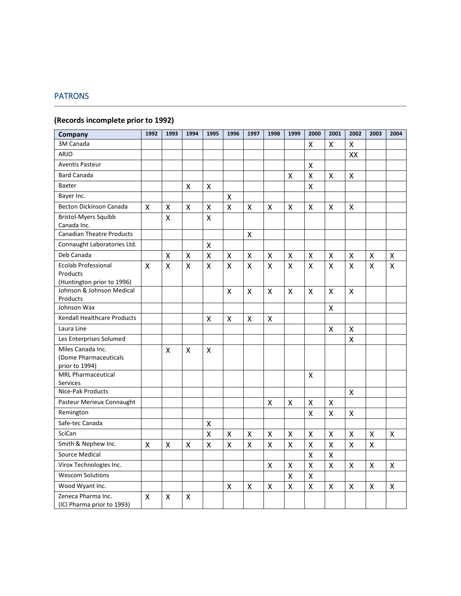## PATRONS

## **(Records incomplete prior to 1992)**

| Company                                                 | 1992 | 1993               | 1994    | 1995                    | 1996               | 1997                      | 1998                      | 1999               | 2000 | 2001                      | 2002                    | 2003               | 2004           |
|---------------------------------------------------------|------|--------------------|---------|-------------------------|--------------------|---------------------------|---------------------------|--------------------|------|---------------------------|-------------------------|--------------------|----------------|
| 3M Canada                                               |      |                    |         |                         |                    |                           |                           |                    | Χ    | Χ                         | Χ                       |                    |                |
| <b>ARJO</b>                                             |      |                    |         |                         |                    |                           |                           |                    |      |                           | XX                      |                    |                |
| <b>Aventis Pasteur</b>                                  |      |                    |         |                         |                    |                           |                           |                    | X    |                           |                         |                    |                |
| <b>Bard Canada</b>                                      |      |                    |         |                         |                    |                           |                           | X                  | Χ    | X                         | Χ                       |                    |                |
| <b>Baxter</b>                                           |      |                    | X       | X                       |                    |                           |                           |                    | X    |                           |                         |                    |                |
| Bayer Inc.                                              |      |                    |         |                         | $\mathsf{X}$       |                           |                           |                    |      |                           |                         |                    |                |
| Becton Dickinson Canada                                 | Χ    | $\pmb{\mathsf{X}}$ | Χ       | Χ                       | $\sf X$            | $\pmb{\mathsf{X}}$        | X                         | $\pmb{\mathsf{X}}$ | Χ    | $\boldsymbol{\mathsf{X}}$ | Χ                       |                    |                |
| Bristol-Myers Squibb                                    |      | $\mathsf{x}$       |         | $\mathsf{\overline{X}}$ |                    |                           |                           |                    |      |                           |                         |                    |                |
| Canada Inc.                                             |      |                    |         |                         |                    |                           |                           |                    |      |                           |                         |                    |                |
| <b>Canadian Theatre Products</b>                        |      |                    |         |                         |                    | $\mathsf{X}$              |                           |                    |      |                           |                         |                    |                |
| Connaught Laboratories Ltd.                             |      |                    |         | $\pmb{\mathsf{X}}$      |                    |                           |                           |                    |      |                           |                         |                    |                |
| Deb Canada                                              |      | Χ                  | Χ       | $\pmb{\mathsf{X}}$      | Χ                  | X                         | X                         | Χ                  | Χ    | Χ                         | Χ                       | x                  | Χ              |
| <b>Ecolab Professional</b>                              | X    | X                  | $\sf X$ | $\overline{\mathsf{X}}$ | $\mathsf{X}$       | $\overline{\mathsf{X}}$   | $\sf X$                   | X                  | X    | $\mathsf{X}$              | $\overline{\mathsf{x}}$ | X                  | X              |
| Products                                                |      |                    |         |                         |                    |                           |                           |                    |      |                           |                         |                    |                |
| (Huntington prior to 1996)<br>Johnson & Johnson Medical |      |                    |         |                         |                    |                           |                           |                    |      |                           |                         |                    |                |
| Products                                                |      |                    |         |                         | $\mathsf{\chi}$    | $\mathsf{\chi}$           | $\mathsf{X}$              | X                  | X    | $\mathsf{X}$              | X                       |                    |                |
| Johnson Wax                                             |      |                    |         |                         |                    |                           |                           |                    |      | X                         |                         |                    |                |
| Kendall Healthcare Products                             |      |                    |         | X                       | $\mathsf{X}$       | $\mathsf{X}$              | $\pmb{\times}$            |                    |      |                           |                         |                    |                |
| Laura Line                                              |      |                    |         |                         |                    |                           |                           |                    |      | $\pmb{\chi}$              | Χ                       |                    |                |
| Les Enterprises Solumed                                 |      |                    |         |                         |                    |                           |                           |                    |      |                           | X                       |                    |                |
| Miles Canada Inc.                                       |      | X                  | X       | X                       |                    |                           |                           |                    |      |                           |                         |                    |                |
| (Dome Pharmaceuticals                                   |      |                    |         |                         |                    |                           |                           |                    |      |                           |                         |                    |                |
| prior to 1994)                                          |      |                    |         |                         |                    |                           |                           |                    |      |                           |                         |                    |                |
| <b>MRL Pharmaceutical</b>                               |      |                    |         |                         |                    |                           |                           |                    | X    |                           |                         |                    |                |
| Services                                                |      |                    |         |                         |                    |                           |                           |                    |      |                           |                         |                    |                |
| <b>Nice-Pak Products</b>                                |      |                    |         |                         |                    |                           |                           |                    |      |                           | X                       |                    |                |
| Pasteur Merieux Connaught                               |      |                    |         |                         |                    |                           | X                         | Χ                  | X    | $\mathsf{X}$              |                         |                    |                |
| Remington                                               |      |                    |         |                         |                    |                           |                           |                    | X    | $\mathsf{\chi}$           | X                       |                    |                |
| Safe-tec Canada                                         |      |                    |         | Χ                       |                    |                           |                           |                    |      |                           |                         |                    |                |
| <b>SciCan</b>                                           |      |                    |         | X                       | X                  | X                         | X                         | Χ                  | X    | X                         | Χ                       | Χ                  | X              |
| Smith & Nephew Inc.                                     | Χ    | Χ                  | Χ       | X                       | $\pmb{\mathsf{X}}$ | $\boldsymbol{\mathsf{X}}$ | X                         | Χ                  | Χ    | $\pmb{\mathsf{X}}$        | X                       | $\pmb{\mathsf{X}}$ |                |
| Source Medical                                          |      |                    |         |                         |                    |                           |                           |                    | Χ    | $\pmb{\mathsf{X}}$        |                         |                    |                |
| Virox Technologies Inc.                                 |      |                    |         |                         |                    |                           | X                         | X                  | Χ    | X                         | Χ                       | x                  | $\pmb{\times}$ |
| <b>Wescom Solutions</b>                                 |      |                    |         |                         |                    |                           |                           | Χ                  | Χ    |                           |                         |                    |                |
| Wood Wyant Inc.                                         |      |                    |         |                         | X                  | X                         | $\boldsymbol{\mathsf{X}}$ | X                  | X    | $\boldsymbol{\mathsf{X}}$ | Χ                       | X                  | X              |
| Zeneca Pharma Inc.<br>(ICI Pharma prior to 1993)        | X    | X                  | X       |                         |                    |                           |                           |                    |      |                           |                         |                    |                |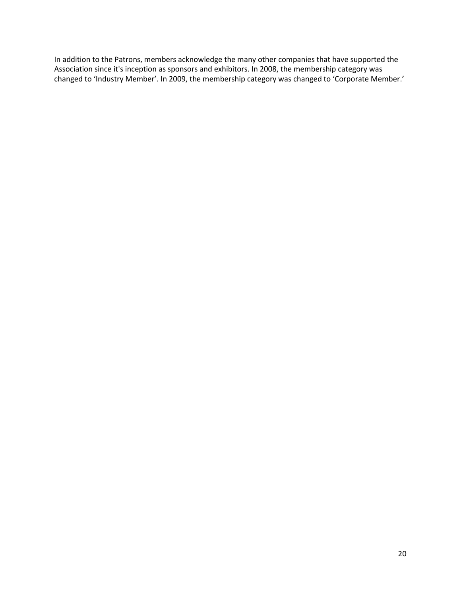In addition to the Patrons, members acknowledge the many other companies that have supported the Association since it's inception as sponsors and exhibitors. In 2008, the membership category was changed to 'Industry Member'. In 2009, the membership category was changed to 'Corporate Member.'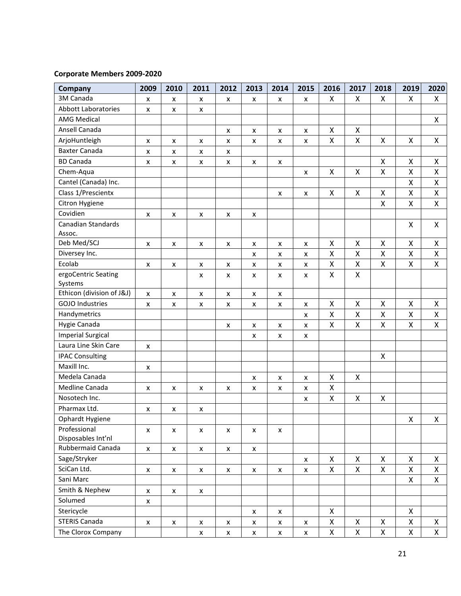## **Corporate Members 2009-2020**

| <b>Company</b>             | 2009               | 2010                      | 2011               | 2012               | 2013               | 2014               | 2015               | 2016               | 2017               | 2018               | 2019               | 2020               |
|----------------------------|--------------------|---------------------------|--------------------|--------------------|--------------------|--------------------|--------------------|--------------------|--------------------|--------------------|--------------------|--------------------|
| 3M Canada                  | X                  | X                         | X                  | X                  | $\pmb{\mathsf{x}}$ | X                  | $\pmb{\mathsf{x}}$ | X                  | X                  | X                  | X                  | X                  |
| <b>Abbott Laboratories</b> | X                  | X                         | X                  |                    |                    |                    |                    |                    |                    |                    |                    |                    |
| <b>AMG Medical</b>         |                    |                           |                    |                    |                    |                    |                    |                    |                    |                    |                    | X                  |
| Ansell Canada              |                    |                           |                    | $\pmb{\mathsf{x}}$ | $\pmb{\mathsf{x}}$ | $\pmb{\mathsf{x}}$ | $\pmb{\mathsf{x}}$ | $\pmb{\mathsf{X}}$ | $\pmb{\mathsf{X}}$ |                    |                    |                    |
| ArjoHuntleigh              | X                  | X                         | X                  | X                  | X                  | X                  | X                  | X                  | $\pmb{\mathsf{X}}$ | Χ                  | Χ                  | X                  |
| <b>Baxter Canada</b>       | X                  | X                         | X                  | X                  |                    |                    |                    |                    |                    |                    |                    |                    |
| <b>BD Canada</b>           | X                  | X                         | X                  | X                  | X                  | X                  |                    |                    |                    | Χ                  | Χ                  | $\pmb{\times}$     |
| Chem-Aqua                  |                    |                           |                    |                    |                    |                    | $\pmb{\mathsf{x}}$ | $\pmb{\mathsf{X}}$ | $\pmb{\mathsf{X}}$ | $\pmb{\mathsf{X}}$ | Χ                  | X                  |
| Cantel (Canada) Inc.       |                    |                           |                    |                    |                    |                    |                    |                    |                    |                    | Χ                  | $\pmb{\times}$     |
| Class 1/Prescientx         |                    |                           |                    |                    |                    | $\pmb{\mathsf{x}}$ | $\pmb{\mathsf{x}}$ | X                  | $\pmb{\mathsf{X}}$ | $\pmb{\mathsf{X}}$ | X                  | $\mathsf X$        |
| Citron Hygiene             |                    |                           |                    |                    |                    |                    |                    |                    |                    | X                  | Χ                  | X                  |
| Covidien                   | x                  | X                         | X                  | X                  | X                  |                    |                    |                    |                    |                    |                    |                    |
| Canadian Standards         |                    |                           |                    |                    |                    |                    |                    |                    |                    |                    | X                  | X                  |
| Assoc.                     |                    |                           |                    |                    |                    |                    |                    |                    |                    |                    |                    |                    |
| Deb Med/SCJ                | X                  | X                         | X                  | X                  | $\pmb{\mathsf{X}}$ | X                  | X                  | X                  | $\pmb{\mathsf{X}}$ | Χ                  | X                  | X                  |
| Diversey Inc.              |                    |                           |                    |                    | X                  | $\pmb{\mathsf{x}}$ | X                  | Χ                  | $\pmb{\mathsf{X}}$ | $\pmb{\mathsf{X}}$ | Χ                  | $\mathsf X$        |
| Ecolab                     | $\pmb{\mathsf{x}}$ | $\pmb{\mathsf{X}}$        | $\pmb{\mathsf{X}}$ | $\pmb{\mathsf{x}}$ | $\pmb{\mathsf{x}}$ | $\pmb{\mathsf{x}}$ | $\pmb{\mathsf{x}}$ | X                  | Χ                  | X                  | X                  | X                  |
| ergoCentric Seating        |                    |                           | $\pmb{\times}$     | X                  | $\pmb{\times}$     | $\pmb{\times}$     | $\pmb{\times}$     | X                  | $\pmb{\mathsf{X}}$ |                    |                    |                    |
| Systems                    |                    |                           |                    |                    |                    |                    |                    |                    |                    |                    |                    |                    |
| Ethicon (division of J&J)  | $\pmb{\mathsf{x}}$ | $\pmb{\mathsf{x}}$        | X                  | X                  | $\pmb{\mathsf{x}}$ | $\pmb{\mathsf{x}}$ |                    |                    |                    |                    |                    |                    |
| <b>GOJO Industries</b>     | x                  | X                         | X                  | x                  | X                  | X                  | X                  | Χ                  | X                  | Χ                  | Χ                  | X                  |
| Handymetrics               |                    |                           |                    |                    |                    |                    | x                  | X                  | $\pmb{\mathsf{X}}$ | $\pmb{\mathsf{X}}$ | X                  | X                  |
| Hygie Canada               |                    |                           |                    | x                  | X                  | x                  | $\pmb{\mathsf{x}}$ | Χ                  | X                  | Χ                  | Χ                  | X                  |
| <b>Imperial Surgical</b>   |                    |                           |                    |                    | X                  | x                  | X                  |                    |                    |                    |                    |                    |
| Laura Line Skin Care       | X                  |                           |                    |                    |                    |                    |                    |                    |                    |                    |                    |                    |
| <b>IPAC Consulting</b>     |                    |                           |                    |                    |                    |                    |                    |                    |                    | Χ                  |                    |                    |
| Maxill Inc.                | $\pmb{\mathsf{x}}$ |                           |                    |                    |                    |                    |                    |                    |                    |                    |                    |                    |
| Medela Canada              |                    |                           |                    |                    | X                  | x                  | x                  | X                  | X                  |                    |                    |                    |
| Medline Canada             | x                  | $\boldsymbol{\mathsf{x}}$ | x                  | x                  | $\pmb{\times}$     | X                  | X                  | Χ                  |                    |                    |                    |                    |
| Nosotech Inc.              |                    |                           |                    |                    |                    |                    | X                  | Χ                  | X                  | $\pmb{\mathsf{X}}$ |                    |                    |
| Pharmax Ltd.               | X                  | $\pmb{\times}$            | $\pmb{\mathsf{x}}$ |                    |                    |                    |                    |                    |                    |                    |                    |                    |
| Ophardt Hygiene            |                    |                           |                    |                    |                    |                    |                    |                    |                    |                    | $\pmb{\mathsf{X}}$ | $\pmb{\mathsf{X}}$ |
| Professional               | X                  | x                         | X                  | X                  | X                  | X                  |                    |                    |                    |                    |                    |                    |
| Disposables Int'nl         |                    |                           |                    |                    |                    |                    |                    |                    |                    |                    |                    |                    |
| Rubbermaid Canada          | $\pmb{\mathsf{x}}$ | X                         | X                  | X                  | X                  |                    |                    |                    |                    |                    |                    |                    |
| Sage/Stryker               |                    |                           |                    |                    |                    |                    | $\pmb{\mathsf{X}}$ | X                  | X                  | X                  | X                  | X                  |
| SciCan Ltd.                | $\pmb{\mathsf{x}}$ | $\pmb{\mathsf{X}}$        | $\pmb{\mathsf{x}}$ | $\pmb{\mathsf{X}}$ | $\pmb{\mathsf{x}}$ | $\pmb{\mathsf{x}}$ | $\pmb{\mathsf{x}}$ | X                  | X                  | X                  | X                  | X                  |
| Sani Marc                  |                    |                           |                    |                    |                    |                    |                    |                    |                    |                    | X                  | X                  |
| Smith & Nephew             | $\pmb{\mathsf{x}}$ | $\pmb{\mathsf{X}}$        | $\pmb{\mathsf{x}}$ |                    |                    |                    |                    |                    |                    |                    |                    |                    |
| Solumed                    | $\pmb{\mathsf{x}}$ |                           |                    |                    |                    |                    |                    |                    |                    |                    |                    |                    |
| Stericycle                 |                    |                           |                    |                    | X                  | x                  |                    | X                  |                    |                    | X                  |                    |
| <b>STERIS Canada</b>       | $\pmb{\mathsf{X}}$ | $\pmb{\mathsf{x}}$        | $\pmb{\mathsf{X}}$ | $\pmb{\times}$     | $\pmb{\mathsf{x}}$ | $\pmb{\mathsf{X}}$ | X                  | X                  | X                  | X                  | X                  | X                  |
| The Clorox Company         |                    |                           | $\pmb{\mathsf{X}}$ | $\pmb{\mathsf{x}}$ | $\pmb{\mathsf{x}}$ | $\pmb{\mathsf{x}}$ | $\pmb{\mathsf{x}}$ | X                  | $\pmb{\mathsf{X}}$ | X                  | X                  | X                  |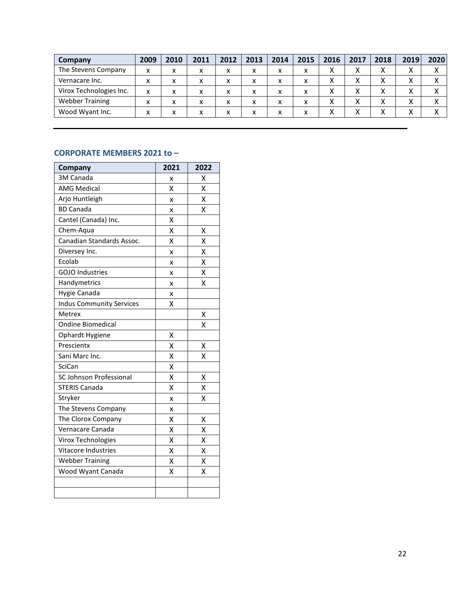| Company                 | 2009              | 2010 | 2011 | 2012   | 2013 | 2014         | 2015              | 2016 | 2017         | 2018              | 2019           | 2020         |
|-------------------------|-------------------|------|------|--------|------|--------------|-------------------|------|--------------|-------------------|----------------|--------------|
| The Stevens Company     | $\checkmark$<br>л | x    | x    | x      | x    | x            | $\checkmark$<br>⋏ |      | χ            | χ                 | v              |              |
| Vernacare Inc.          | v                 | x    | x    | х      | х    | x            | х                 |      | v            | $\checkmark$      | v              |              |
| Virox Technologies Inc. | v                 |      | x    | x      | x    | $\checkmark$ | $\checkmark$<br>Л |      | Χ            | $\checkmark$<br>́ | v              |              |
| <b>Webber Training</b>  | v                 |      | x    | x      | x    | x            | $\checkmark$<br>^ |      | x            | $\checkmark$<br>́ | v              | $\mathbf{v}$ |
| Wood Wyant Inc.         | $\checkmark$<br>́ |      | x    | v<br>⋏ | x    | v<br>Λ       | v<br>Λ            |      | $\checkmark$ | $\checkmark$      | v<br>$\lambda$ |              |

## **CORPORATE MEMBERS 2021 to –**

| <b>Company</b>                  | 2021                    | 2022                    |
|---------------------------------|-------------------------|-------------------------|
| 3M Canada                       | x                       | Χ                       |
| <b>AMG Medical</b>              | X                       | X                       |
| Arjo Huntleigh                  | X                       | X                       |
| <b>BD Canada</b>                | X                       | $\overline{\mathsf{x}}$ |
| Cantel (Canada) Inc.            | X                       |                         |
| Chem-Aqua                       | X                       | Χ                       |
| Canadian Standards Assoc.       | X                       | X                       |
| Diversey Inc.                   | x                       | X                       |
| Ecolab                          | x                       | $\overline{\mathsf{x}}$ |
| <b>GOJO Industries</b>          | X                       | $\overline{\mathsf{x}}$ |
| Handymetrics                    | x                       | X                       |
| Hygie Canada                    | x                       |                         |
| <b>Indus Community Services</b> | X                       |                         |
| Metrex                          |                         | Χ                       |
| <b>Ondine Biomedical</b>        |                         | $\overline{\mathsf{x}}$ |
| Ophardt Hygiene                 | Χ                       |                         |
| Prescientx                      | Χ                       | Χ                       |
| Sani Marc Inc.                  | X                       | X                       |
| SciCan                          | X                       |                         |
| SC Johnson Professional         | $\overline{\mathsf{x}}$ | X                       |
| <b>STERIS Canada</b>            | X                       | X                       |
| Stryker                         | x                       | $\overline{\mathsf{x}}$ |
| The Stevens Company             | X                       |                         |
| The Clorox Company              | X                       | Χ                       |
| Vernacare Canada                | X                       | X                       |
| Virox Technologies              | X                       | X                       |
| <b>Vitacore Industries</b>      | X                       | Χ                       |
| <b>Webber Training</b>          | X                       | X                       |
| Wood Wyant Canada               | X                       | X                       |
|                                 |                         |                         |
|                                 |                         |                         |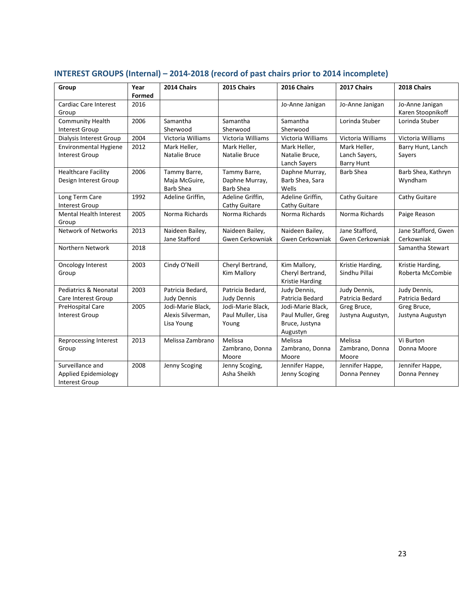| Group                         | Year   | 2014 Chairs          | 2015 Chairs       | 2016 Chairs            | 2017 Chairs       | 2018 Chairs         |
|-------------------------------|--------|----------------------|-------------------|------------------------|-------------------|---------------------|
|                               | Formed |                      |                   |                        |                   |                     |
| Cardiac Care Interest         | 2016   |                      |                   | Jo-Anne Janigan        | Jo-Anne Janigan   | Jo-Anne Janigan     |
| Group                         |        |                      |                   |                        |                   | Karen Stoopnikoff   |
| <b>Community Health</b>       | 2006   | Samantha             | Samantha          | Samantha               | Lorinda Stuber    | Lorinda Stuber      |
| <b>Interest Group</b>         |        | Sherwood             | Sherwood          | Sherwood               |                   |                     |
| Dialysis Interest Group       | 2004   | Victoria Williams    | Victoria Williams | Victoria Williams      | Victoria Williams | Victoria Williams   |
| <b>Environmental Hygiene</b>  | 2012   | Mark Heller,         | Mark Heller,      | Mark Heller,           | Mark Heller,      | Barry Hunt, Lanch   |
| <b>Interest Group</b>         |        | <b>Natalie Bruce</b> | Natalie Bruce     | Natalie Bruce,         | Lanch Sayers,     | Savers              |
|                               |        |                      |                   | Lanch Sayers           | <b>Barry Hunt</b> |                     |
| <b>Healthcare Facility</b>    | 2006   | Tammy Barre,         | Tammy Barre,      | Daphne Murray,         | <b>Barb Shea</b>  | Barb Shea, Kathryn  |
| Design Interest Group         |        | Maja McGuire,        | Daphne Murray,    | Barb Shea, Sara        |                   | Wyndham             |
|                               |        | <b>Barb Shea</b>     | <b>Barb Shea</b>  | Wells                  |                   |                     |
| Long Term Care                | 1992   | Adeline Griffin,     | Adeline Griffin,  | Adeline Griffin,       | Cathy Guitare     | Cathy Guitare       |
| <b>Interest Group</b>         |        |                      | Cathy Guitare     | <b>Cathy Guitare</b>   |                   |                     |
| <b>Mental Health Interest</b> | 2005   | Norma Richards       | Norma Richards    | Norma Richards         | Norma Richards    | Paige Reason        |
| Group                         |        |                      |                   |                        |                   |                     |
| <b>Network of Networks</b>    | 2013   | Naideen Bailey,      | Naideen Bailey,   | Naideen Bailey,        | Jane Stafford,    | Jane Stafford, Gwen |
|                               |        | Jane Stafford        | Gwen Cerkowniak   | Gwen Cerkowniak        | Gwen Cerkowniak   | Cerkowniak          |
| Northern Network              | 2018   |                      |                   |                        |                   | Samantha Stewart    |
|                               |        |                      |                   |                        |                   |                     |
| Oncology Interest             | 2003   | Cindy O'Neill        | Cheryl Bertrand,  | Kim Mallory,           | Kristie Harding,  | Kristie Harding,    |
| Group                         |        |                      | Kim Mallory       | Cheryl Bertrand,       | Sindhu Pillai     | Roberta McCombie    |
|                               |        |                      |                   | <b>Kristie Harding</b> |                   |                     |
| Pediatrics & Neonatal         | 2003   | Patricia Bedard,     | Patricia Bedard,  | Judy Dennis,           | Judy Dennis,      | Judy Dennis,        |
| Care Interest Group           |        | <b>Judy Dennis</b>   | Judy Dennis       | Patricia Bedard        | Patricia Bedard   | Patricia Bedard     |
| PreHospital Care              | 2005   | Jodi-Marie Black,    | Jodi-Marie Black, | Jodi-Marie Black,      | Greg Bruce,       | Greg Bruce,         |
| <b>Interest Group</b>         |        | Alexis Silverman,    | Paul Muller, Lisa | Paul Muller, Greg      | Justyna Augustyn, | Justyna Augustyn    |
|                               |        | Lisa Young           | Young             | Bruce, Justyna         |                   |                     |
|                               |        |                      |                   | Augustyn               |                   |                     |
| Reprocessing Interest         | 2013   | Melissa Zambrano     | Melissa           | Melissa                | Melissa           | Vi Burton           |
| Group                         |        |                      | Zambrano, Donna   | Zambrano, Donna        | Zambrano, Donna   | Donna Moore         |
|                               |        |                      | Moore             | Moore                  | Moore             |                     |
| Surveillance and              | 2008   | Jenny Scoging        | Jenny Scoging,    | Jennifer Happe,        | Jennifer Happe,   | Jennifer Happe,     |
| <b>Applied Epidemiology</b>   |        |                      | Asha Sheikh       | Jenny Scoging          | Donna Penney      | Donna Penney        |
| <b>Interest Group</b>         |        |                      |                   |                        |                   |                     |

# **INTEREST GROUPS (Internal) – 2014-2018 (record of past chairs prior to 2014 incomplete)**